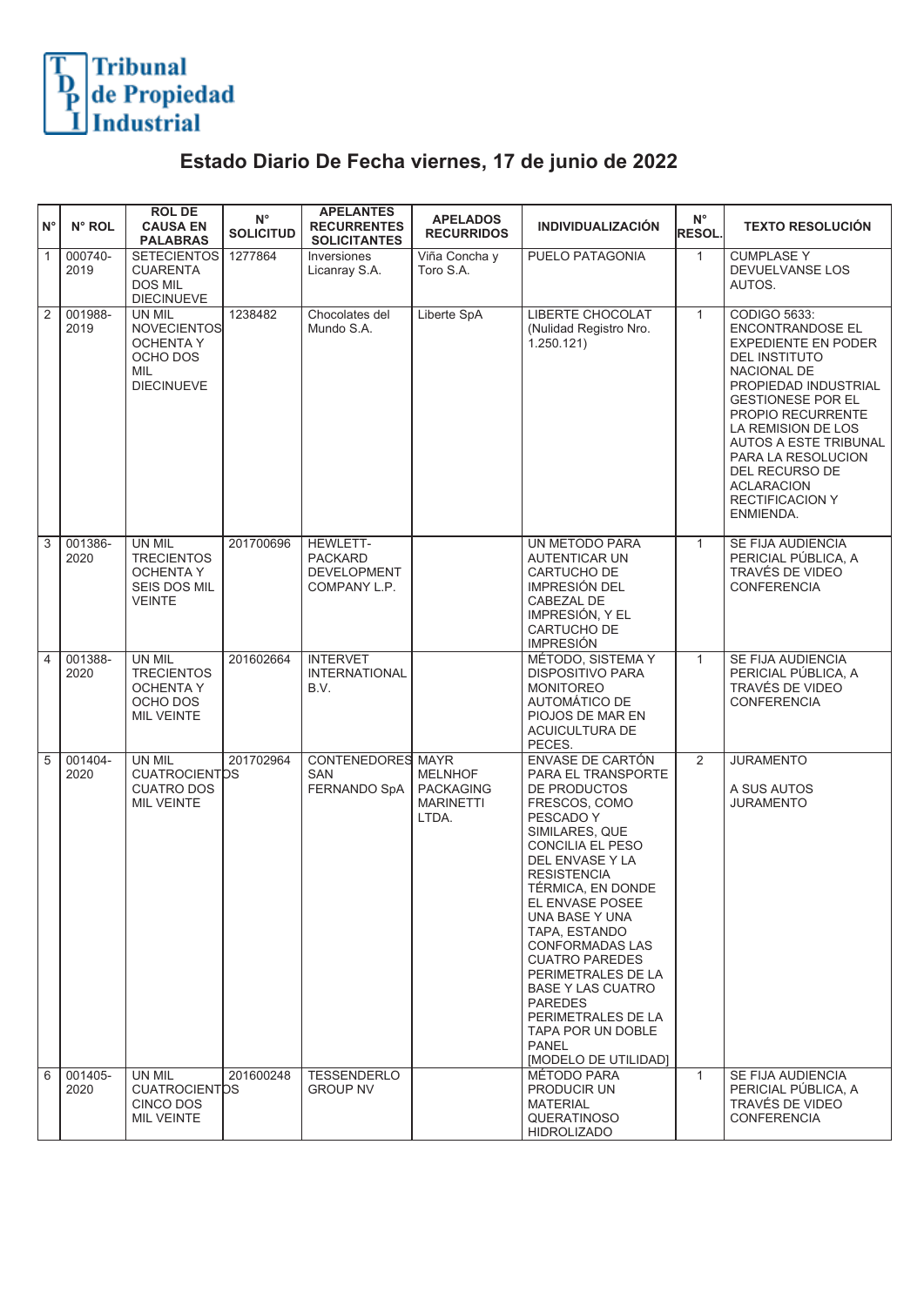## Tribunal<br>de Propiedad<br>Industrial

## **Estado Diario De Fecha viernes, 17 de junio de 2022**

| ١N°            | N° ROL          | <b>ROLDE</b><br><b>CAUSA EN</b><br><b>PALABRAS</b>                                       | $\mathsf{N}^\circ$<br><b>SOLICITUD</b> | <b>APELANTES</b><br><b>RECURRENTES</b><br><b>SOLICITANTES</b>    | <b>APELADOS</b><br><b>RECURRIDOS</b>                            | <b>INDIVIDUALIZACIÓN</b>                                                                                                                                                                                                                                                                                                                                                                                                                                        | $N^{\circ}$<br><b>RESOL</b> | <b>TEXTO RESOLUCIÓN</b>                                                                                                                                                                                                                                                                                                                         |
|----------------|-----------------|------------------------------------------------------------------------------------------|----------------------------------------|------------------------------------------------------------------|-----------------------------------------------------------------|-----------------------------------------------------------------------------------------------------------------------------------------------------------------------------------------------------------------------------------------------------------------------------------------------------------------------------------------------------------------------------------------------------------------------------------------------------------------|-----------------------------|-------------------------------------------------------------------------------------------------------------------------------------------------------------------------------------------------------------------------------------------------------------------------------------------------------------------------------------------------|
| $\overline{1}$ | 000740-<br>2019 | <b>SETECIENTOS</b><br><b>CUARENTA</b><br><b>DOS MIL</b><br><b>DIECINUEVE</b>             | 1277864                                | Inversiones<br>Licanray S.A.                                     | Viña Concha y<br>Toro S.A.                                      | PUELO PATAGONIA                                                                                                                                                                                                                                                                                                                                                                                                                                                 | $\mathbf{1}$                | <b>CUMPLASE Y</b><br>DEVUELVANSE LOS<br>AUTOS.                                                                                                                                                                                                                                                                                                  |
| $\overline{2}$ | 001988-<br>2019 | UN MIL<br><b>NOVECIENTOS</b><br><b>OCHENTA Y</b><br>OCHO DOS<br>MIL<br><b>DIECINUEVE</b> | 1238482                                | Chocolates del<br>Mundo S.A.                                     | Liberte SpA                                                     | LIBERTE CHOCOLAT<br>(Nulidad Registro Nro.<br>1.250.121)                                                                                                                                                                                                                                                                                                                                                                                                        | $\mathbf{1}$                | CODIGO 5633:<br><b>ENCONTRANDOSE EL</b><br><b>EXPEDIENTE EN PODER</b><br><b>DEL INSTITUTO</b><br>NACIONAL DE<br>PROPIEDAD INDUSTRIAL<br><b>GESTIONESE POR EL</b><br><b>PROPIO RECURRENTE</b><br>LA REMISION DE LOS<br>AUTOS A ESTE TRIBUNAL<br>PARA LA RESOLUCION<br>DEL RECURSO DE<br><b>ACLARACION</b><br><b>RECTIFICACION Y</b><br>ENMIENDA. |
| $\sqrt{3}$     | 001386-<br>2020 | <b>UN MIL</b><br><b>TRECIENTOS</b><br>OCHENTA Y<br><b>SEIS DOS MIL</b><br><b>VEINTE</b>  | 201700696                              | HEWLETT-<br><b>PACKARD</b><br><b>DEVELOPMENT</b><br>COMPANY L.P. |                                                                 | UN METODO PARA<br>AUTENTICAR UN<br>CARTUCHO DE<br>IMPRESIÓN DEL<br>CABEZAL DE<br>IMPRESIÓN, Y EL<br>CARTUCHO DE<br><b>IMPRESIÓN</b>                                                                                                                                                                                                                                                                                                                             | $\mathbf{1}$                | SE FIJA AUDIENCIA<br>PERICIAL PÚBLICA. A<br>TRAVÉS DE VIDEO<br><b>CONFERENCIA</b>                                                                                                                                                                                                                                                               |
| $\boxed{4}$    | 001388-<br>2020 | UN MIL<br><b>TRECIENTOS</b><br><b>OCHENTA Y</b><br>OCHO DOS<br><b>MIL VEINTE</b>         | 201602664                              | <b>INTERVET</b><br><b>INTERNATIONAL</b><br>B.V.                  |                                                                 | MÉTODO, SISTEMA Y<br><b>DISPOSITIVO PARA</b><br><b>MONITOREO</b><br>AUTOMÁTICO DE<br>PIOJOS DE MAR EN<br>ACUICULTURA DE<br>PECES.                                                                                                                                                                                                                                                                                                                               | $\mathbf{1}$                | SE FIJA AUDIENCIA<br>PERICIAL PÚBLICA, A<br>TRAVÉS DE VIDEO<br><b>CONFERENCIA</b>                                                                                                                                                                                                                                                               |
| $\overline{5}$ | 001404-<br>2020 | UN MIL<br><b>CUATROCIENTDS</b><br><b>CUATRO DOS</b><br><b>MIL VEINTE</b>                 | 201702964                              | <b>CONTENEDORES MAYR</b><br><b>SAN</b><br>FERNANDO SpA           | <b>MELNHOF</b><br><b>PACKAGING</b><br><b>MARINETTI</b><br>LTDA. | ENVASE DE CARTÓN<br>PARA EL TRANSPORTE<br>DE PRODUCTOS<br>FRESCOS, COMO<br>PESCADO Y<br>SIMILARES, QUE<br><b>CONCILIA EL PESO</b><br>DEL ENVASE Y LA<br><b>RESISTENCIA</b><br>TÉRMICA, EN DONDE<br>EL ENVASE POSEE<br>UNA BASE Y UNA<br>TAPA, ESTANDO<br><b>CONFORMADAS LAS</b><br><b>CUATRO PAREDES</b><br>PERIMETRALES DE LA<br><b>BASE Y LAS CUATRO</b><br><b>PAREDES</b><br>PERIMETRALES DE LA<br>TAPA POR UN DOBLE<br><b>PANEL</b><br>[MODELO DE UTILIDAD] | $\overline{2}$              | <b>JURAMENTO</b><br>A SUS AUTOS<br><b>JURAMENTO</b>                                                                                                                                                                                                                                                                                             |
| 6              | 001405-<br>2020 | UN MIL<br><b>CUATROCIENTDS</b><br>CINCO DOS<br><b>MIL VEINTE</b>                         | 201600248                              | <b>TESSENDERLO</b><br><b>GROUP NV</b>                            |                                                                 | <b>MÉTODO PARA</b><br>PRODUCIR UN<br><b>MATERIAL</b><br><b>QUERATINOSO</b><br><b>HIDROLIZADO</b>                                                                                                                                                                                                                                                                                                                                                                | $\mathbf{1}$                | SE FIJA AUDIENCIA<br>PERICIAL PÚBLICA, A<br>TRAVÉS DE VIDEO<br><b>CONFERENCIA</b>                                                                                                                                                                                                                                                               |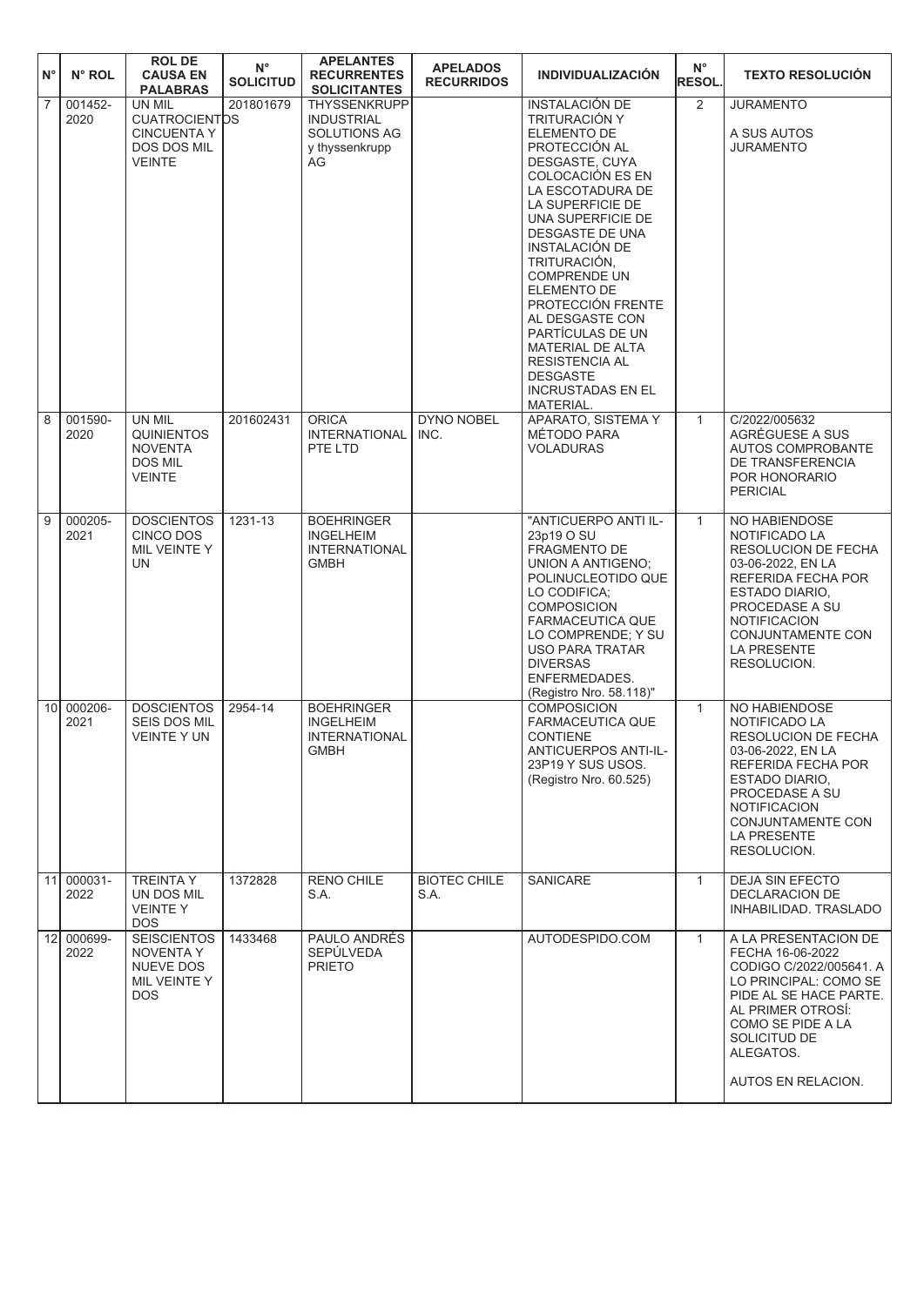| $N^{\circ}$     | N° ROL             | <b>ROL DE</b><br><b>CAUSA EN</b><br><b>PALABRAS</b>                                         | $\mathsf{N}^\circ$<br><b>SOLICITUD</b> | <b>APELANTES</b><br><b>RECURRENTES</b><br><b>SOLICITANTES</b>                    | <b>APELADOS</b><br><b>RECURRIDOS</b> | <b>INDIVIDUALIZACIÓN</b>                                                                                                                                                                                                                                                                                                                                                                                                                         | $N^{\circ}$<br><b>RESOL.</b> | <b>TEXTO RESOLUCION</b>                                                                                                                                                                                               |
|-----------------|--------------------|---------------------------------------------------------------------------------------------|----------------------------------------|----------------------------------------------------------------------------------|--------------------------------------|--------------------------------------------------------------------------------------------------------------------------------------------------------------------------------------------------------------------------------------------------------------------------------------------------------------------------------------------------------------------------------------------------------------------------------------------------|------------------------------|-----------------------------------------------------------------------------------------------------------------------------------------------------------------------------------------------------------------------|
| $\overline{7}$  | 001452-<br>2020    | UN MIL<br><b>CUATROCIENTDS</b><br><b>CINCUENTA Y</b><br><b>DOS DOS MIL</b><br><b>VEINTE</b> | 201801679                              | THYSSENKRUPP<br><b>INDUSTRIAL</b><br><b>SOLUTIONS AG</b><br>y thyssenkrupp<br>AG |                                      | <b>INSTALACIÓN DE</b><br>TRITURACIÓN Y<br>ELEMENTO DE<br>PROTECCIÓN AL<br>DESGASTE, CUYA<br>COLOCACIÓN ES EN<br>LA ESCOTADURA DE<br>LA SUPERFICIE DE<br>UNA SUPERFICIE DE<br>DESGASTE DE UNA<br>INSTALACIÓN DE<br>TRITURACIÓN,<br><b>COMPRENDE UN</b><br>ELEMENTO DE<br>PROTECCIÓN FRENTE<br>AL DESGASTE CON<br>PARTÍCULAS DE UN<br><b>MATERIAL DE ALTA</b><br><b>RESISTENCIA AL</b><br><b>DESGASTE</b><br><b>INCRUSTADAS EN EL</b><br>MATERIAL. | 2                            | <b>JURAMENTO</b><br>A SUS AUTOS<br><b>JURAMENTO</b>                                                                                                                                                                   |
| $\sqrt{8}$      | 001590-<br>2020    | UN MIL<br><b>QUINIENTOS</b><br><b>NOVENTA</b><br>DOS MIL<br><b>VEINTE</b>                   | 201602431                              | <b>ORICA</b><br><b>INTERNATIONAL</b><br>PTE LTD                                  | <b>DYNO NOBEL</b><br>INC.            | APARATO, SISTEMA Y<br>MÉTODO PARA<br><b>VOLADURAS</b>                                                                                                                                                                                                                                                                                                                                                                                            | $\mathbf{1}$                 | C/2022/005632<br>AGRÉGUESE A SUS<br>AUTOS COMPROBANTE<br>DE TRANSFERENCIA<br>POR HONORARIO<br><b>PERICIAL</b>                                                                                                         |
| $\overline{9}$  | 000205-<br>2021    | <b>DOSCIENTOS</b><br>CINCO DOS<br>MIL VEINTE Y<br><b>UN</b>                                 | 1231-13                                | <b>BOEHRINGER</b><br><b>INGELHEIM</b><br><b>INTERNATIONAL</b><br><b>GMBH</b>     |                                      | "ANTICUERPO ANTI IL-<br>23p19 O SU<br>FRAGMENTO DE<br>UNION A ANTIGENO:<br>POLINUCLEOTIDO QUE<br>LO CODIFICA:<br><b>COMPOSICION</b><br><b>FARMACEUTICA QUE</b><br>LO COMPRENDE; Y SU<br>USO PARA TRATAR<br><b>DIVERSAS</b><br>ENFERMEDADES.<br>(Registro Nro. 58.118)"                                                                                                                                                                           | $\mathbf{1}$                 | NO HABIENDOSE<br>NOTIFICADO LA<br>RESOLUCION DE FECHA<br>03-06-2022, EN LA<br>REFERIDA FECHA POR<br>ESTADO DIARIO,<br>PROCEDASE A SU<br>NOTIFICACION<br>CONJUNTAMENTE CON<br>LA PRESENTE<br>RESOLUCION.               |
| 10 <sup>1</sup> | 000206-<br>2021    | <b>DOSCIENTOS</b><br>SEIS DOS MIL<br><b>VEINTE Y UN</b>                                     | 2954-14                                | <b>BOEHRINGER</b><br><b>INGELHEIM</b><br><b>INTERNATIONAL</b><br>GMBH            |                                      | <b>COMPOSICION</b><br><b>FARMACEUTICA QUE</b><br><b>CONTIENE</b><br>ANTICUERPOS ANTI-IL-<br>23P19 Y SUS USOS.<br>(Registro Nro. 60.525)                                                                                                                                                                                                                                                                                                          | $\mathbf{1}$                 | NO HABIENDOSE<br>NOTIFICADO LA<br><b>RESOLUCION DE FECHA</b><br>03-06-2022, EN LA<br>REFERIDA FECHA POR<br>ESTADO DIARIO,<br>PROCEDASE A SU<br><b>NOTIFICACION</b><br>CONJUNTAMENTE CON<br>LA PRESENTE<br>RESOLUCION. |
|                 | 11 000031-<br>2022 | <b>TREINTA Y</b><br>UN DOS MIL<br><b>VEINTEY</b><br><b>DOS</b>                              | 1372828                                | <b>RENO CHILE</b><br>S.A.                                                        | <b>BIOTEC CHILE</b><br>S.A.          | <b>SANICARE</b>                                                                                                                                                                                                                                                                                                                                                                                                                                  | $\mathbf{1}$                 | DEJA SIN EFECTO<br><b>DECLARACION DE</b><br>INHABILIDAD. TRASLADO                                                                                                                                                     |
|                 | 12 000699-<br>2022 | <b>SEISCIENTOS</b><br>NOVENTA Y<br><b>NUEVE DOS</b><br>MIL VEINTE Y<br><b>DOS</b>           | 1433468                                | PAULO ANDRÉS<br>SEPÚLVEDA<br><b>PRIETO</b>                                       |                                      | AUTODESPIDO.COM                                                                                                                                                                                                                                                                                                                                                                                                                                  | $\mathbf{1}$                 | A LA PRESENTACION DE<br>FECHA 16-06-2022<br>CODIGO C/2022/005641. A<br>LO PRINCIPAL: COMO SE<br>PIDE AL SE HACE PARTE.<br>AL PRIMER OTROSI:<br>COMO SE PIDE A LA<br>SOLICITUD DE<br>ALEGATOS.<br>AUTOS EN RELACION.   |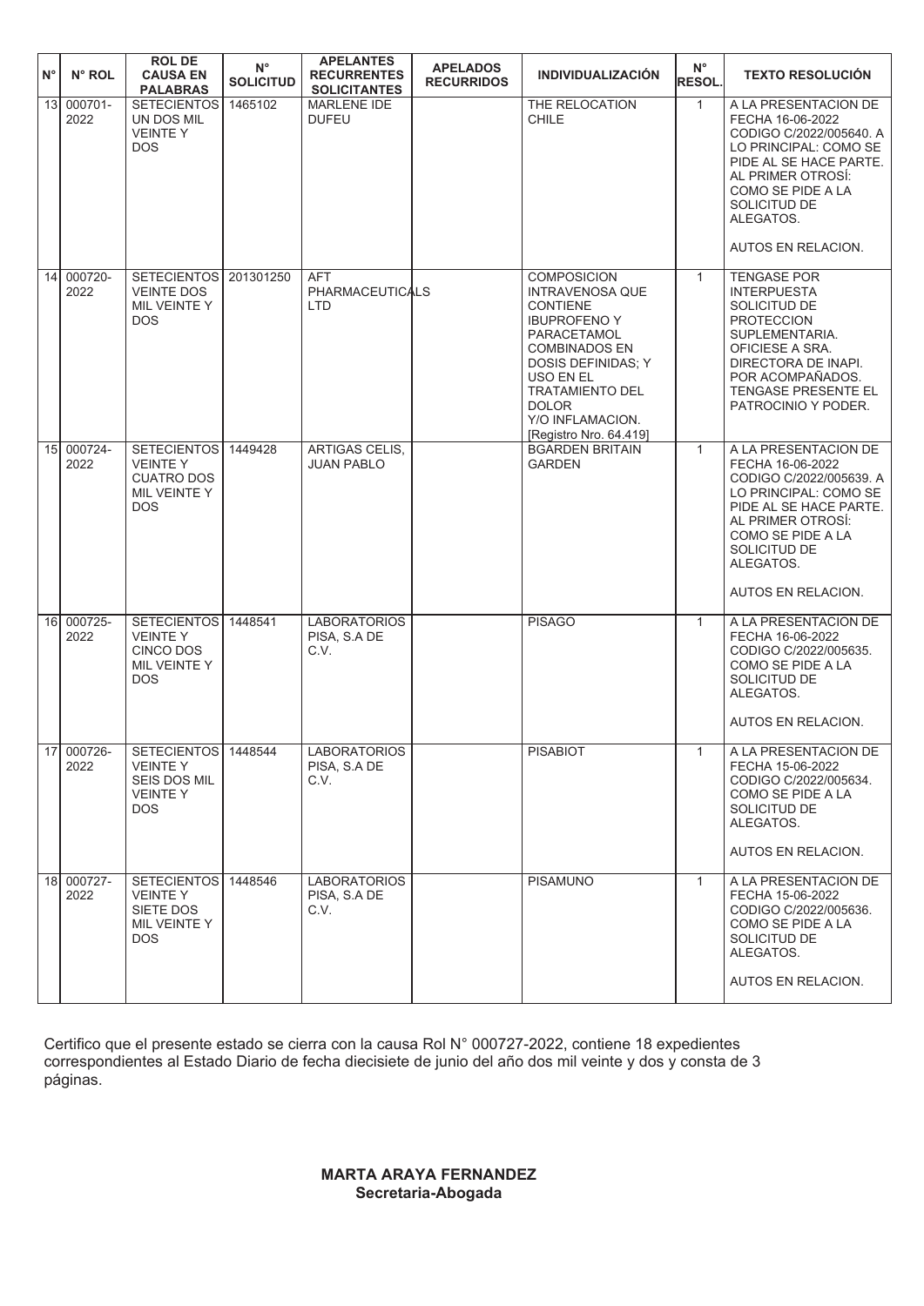| N°              | N° ROL             | <b>ROL DE</b><br><b>CAUSA EN</b><br><b>PALABRAS</b>                                            | $N^{\circ}$<br><b>SOLICITUD</b> | <b>APELANTES</b><br><b>RECURRENTES</b><br><b>SOLICITANTES</b> | <b>APELADOS</b><br><b>RECURRIDOS</b> | <b>INDIVIDUALIZACIÓN</b>                                                                                                                                                                                                                                 | $N^{\circ}$<br><b>RESOL.</b> | <b>TEXTO RESOLUCIÓN</b>                                                                                                                                                                                             |
|-----------------|--------------------|------------------------------------------------------------------------------------------------|---------------------------------|---------------------------------------------------------------|--------------------------------------|----------------------------------------------------------------------------------------------------------------------------------------------------------------------------------------------------------------------------------------------------------|------------------------------|---------------------------------------------------------------------------------------------------------------------------------------------------------------------------------------------------------------------|
| 13              | $000701 -$<br>2022 | <b>SETECIENTOS</b><br>UN DOS MIL<br><b>VEINTEY</b><br><b>DOS</b>                               | 1465102                         | <b>MARLENE IDE</b><br><b>DUFEU</b>                            |                                      | THE RELOCATION<br><b>CHILE</b>                                                                                                                                                                                                                           | $\mathbf{1}$                 | A LA PRESENTACION DE<br>FECHA 16-06-2022<br>CODIGO C/2022/005640. A<br>LO PRINCIPAL: COMO SE<br>PIDE AL SE HACE PARTE.<br>AL PRIMER OTROSÍ:<br>COMO SE PIDE A LA<br>SOLICITUD DE<br>ALEGATOS.<br>AUTOS EN RELACION. |
| 14 <sup>1</sup> | 000720-<br>2022    | SETECIENTOS 201301250<br><b>VEINTE DOS</b><br>MIL VEINTE Y<br><b>DOS</b>                       |                                 | AFT<br><b>PHARMACEUTICALS</b><br><b>LTD</b>                   |                                      | <b>COMPOSICION</b><br><b>INTRAVENOSA QUE</b><br><b>CONTIENE</b><br><b>IBUPROFENO Y</b><br>PARACETAMOL<br><b>COMBINADOS EN</b><br>DOSIS DEFINIDAS; Y<br>USO EN EL<br><b>TRATAMIENTO DEL</b><br><b>DOLOR</b><br>Y/O INFLAMACION.<br>[Registro Nro. 64.419] | $\mathbf{1}$                 | <b>TENGASE POR</b><br><b>INTERPUESTA</b><br>SOLICITUD DE<br><b>PROTECCION</b><br>SUPLEMENTARIA.<br>OFICIESE A SRA.<br>DIRECTORA DE INAPI.<br>POR ACOMPAÑADOS.<br><b>TENGASE PRESENTE EL</b><br>PATROCINIO Y PODER.  |
|                 | 15 000724-<br>2022 | <b>SETECIENTOS</b><br><b>VEINTEY</b><br><b>CUATRO DOS</b><br>MIL VEINTE Y<br><b>DOS</b>        | 1449428                         | <b>ARTIGAS CELIS.</b><br><b>JUAN PABLO</b>                    |                                      | <b>BGARDEN BRITAIN</b><br><b>GARDEN</b>                                                                                                                                                                                                                  | $\mathbf{1}$                 | A LA PRESENTACION DE<br>FECHA 16-06-2022<br>CODIGO C/2022/005639. A<br>LO PRINCIPAL: COMO SE<br>PIDE AL SE HACE PARTE.<br>AL PRIMER OTROSI:<br>COMO SE PIDE A LA<br>SOLICITUD DE<br>ALEGATOS.<br>AUTOS EN RELACION. |
|                 | 16 000725-<br>2022 | <b>SETECIENTOS</b><br><b>VEINTEY</b><br>CINCO DOS<br>MIL VEINTE Y<br><b>DOS</b>                | 1448541                         | <b>LABORATORIOS</b><br>PISA, S.A DE<br>C.V.                   |                                      | <b>PISAGO</b>                                                                                                                                                                                                                                            | $\mathbf{1}$                 | A LA PRESENTACION DE<br>FECHA 16-06-2022<br>CODIGO C/2022/005635.<br>COMO SE PIDE A LA<br>SOLICITUD DE<br>ALEGATOS.<br>AUTOS EN RELACION.                                                                           |
|                 | 17 000726-<br>2022 | SETECIENTOS   1448544<br><b>VEINTEY</b><br><b>SEIS DOS MIL</b><br><b>VEINTEY</b><br><b>DOS</b> |                                 | <b>LABORATORIOS</b><br>PISA, S.A DE<br>C.V.                   |                                      | PISABIOT                                                                                                                                                                                                                                                 | $\mathbf{1}$                 | A LA PRESENTACION DE<br>FECHA 15-06-2022<br>CODIGO C/2022/005634.<br>COMO SE PIDE A LA<br>SOLICITUD DE<br>ALEGATOS.<br>AUTOS EN RELACION.                                                                           |
|                 | 18 000727-<br>2022 | SETECIENTOS 1448546<br><b>VEINTE Y</b><br>SIETE DOS<br>MIL VEINTE Y<br>DOS.                    |                                 | <b>LABORATORIOS</b><br>PISA, S.A DE<br>C.V.                   |                                      | <b>PISAMUNO</b>                                                                                                                                                                                                                                          | $\mathbf{1}$                 | A LA PRESENTACION DE<br>FECHA 15-06-2022<br>CODIGO C/2022/005636.<br>COMO SE PIDE A LA<br>SOLICITUD DE<br>ALEGATOS.<br>AUTOS EN RELACION.                                                                           |

Certifico que el presente estado se cierra con la causa Rol N° 000727-2022, contiene 18 expedientes correspondientes al Estado Diario de fecha diecisiete de junio del año dos mil veinte y dos y consta de 3 páginas.

## **MARTA ARAYA FERNANDEZ Secretaria-Abogada**